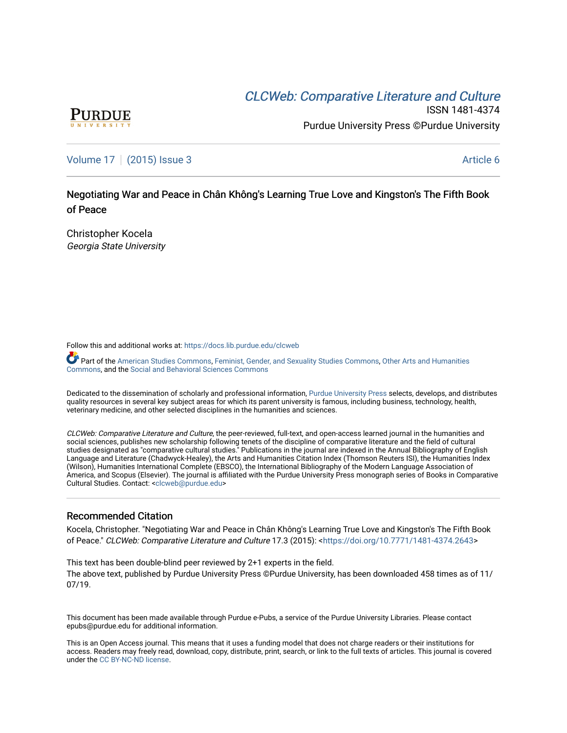# CLCW[eb: Comparative Liter](https://docs.lib.purdue.edu/clcweb)ature and Culture



ISSN 1481-4374 Purdue University Press ©Purdue University

[Volume 17](https://docs.lib.purdue.edu/clcweb/vol17) | [\(2015\) Issue 3](https://docs.lib.purdue.edu/clcweb/vol17/iss3) Article 6

Negotiating War and Peace in Chân Không's Learning True Love and Kingston's The Fifth Book of Peace

Christopher Kocela Georgia State University

Follow this and additional works at: [https://docs.lib.purdue.edu/clcweb](https://docs.lib.purdue.edu/clcweb?utm_source=docs.lib.purdue.edu%2Fclcweb%2Fvol17%2Fiss3%2F6&utm_medium=PDF&utm_campaign=PDFCoverPages)

Part of the [American Studies Commons](http://network.bepress.com/hgg/discipline/439?utm_source=docs.lib.purdue.edu%2Fclcweb%2Fvol17%2Fiss3%2F6&utm_medium=PDF&utm_campaign=PDFCoverPages), [Feminist, Gender, and Sexuality Studies Commons](http://network.bepress.com/hgg/discipline/559?utm_source=docs.lib.purdue.edu%2Fclcweb%2Fvol17%2Fiss3%2F6&utm_medium=PDF&utm_campaign=PDFCoverPages), [Other Arts and Humanities](http://network.bepress.com/hgg/discipline/577?utm_source=docs.lib.purdue.edu%2Fclcweb%2Fvol17%2Fiss3%2F6&utm_medium=PDF&utm_campaign=PDFCoverPages) [Commons,](http://network.bepress.com/hgg/discipline/577?utm_source=docs.lib.purdue.edu%2Fclcweb%2Fvol17%2Fiss3%2F6&utm_medium=PDF&utm_campaign=PDFCoverPages) and the [Social and Behavioral Sciences Commons](http://network.bepress.com/hgg/discipline/316?utm_source=docs.lib.purdue.edu%2Fclcweb%2Fvol17%2Fiss3%2F6&utm_medium=PDF&utm_campaign=PDFCoverPages) 

Dedicated to the dissemination of scholarly and professional information, [Purdue University Press](http://www.thepress.purdue.edu/) selects, develops, and distributes quality resources in several key subject areas for which its parent university is famous, including business, technology, health, veterinary medicine, and other selected disciplines in the humanities and sciences.

CLCWeb: Comparative Literature and Culture, the peer-reviewed, full-text, and open-access learned journal in the humanities and social sciences, publishes new scholarship following tenets of the discipline of comparative literature and the field of cultural studies designated as "comparative cultural studies." Publications in the journal are indexed in the Annual Bibliography of English Language and Literature (Chadwyck-Healey), the Arts and Humanities Citation Index (Thomson Reuters ISI), the Humanities Index (Wilson), Humanities International Complete (EBSCO), the International Bibliography of the Modern Language Association of America, and Scopus (Elsevier). The journal is affiliated with the Purdue University Press monograph series of Books in Comparative Cultural Studies. Contact: [<clcweb@purdue.edu](mailto:clcweb@purdue.edu)>

### Recommended Citation

Kocela, Christopher. "Negotiating War and Peace in Chân Không's Learning True Love and Kingston's The Fifth Book of Peace." CLCWeb: Comparative Literature and Culture 17.3 (2015): <[https://doi.org/10.7771/1481-4374.2643>](https://doi.org/10.7771/1481-4374.2643)

This text has been double-blind peer reviewed by 2+1 experts in the field. The above text, published by Purdue University Press ©Purdue University, has been downloaded 458 times as of 11/ 07/19.

This document has been made available through Purdue e-Pubs, a service of the Purdue University Libraries. Please contact epubs@purdue.edu for additional information.

This is an Open Access journal. This means that it uses a funding model that does not charge readers or their institutions for access. Readers may freely read, download, copy, distribute, print, search, or link to the full texts of articles. This journal is covered under the [CC BY-NC-ND license.](https://creativecommons.org/licenses/by-nc-nd/4.0/)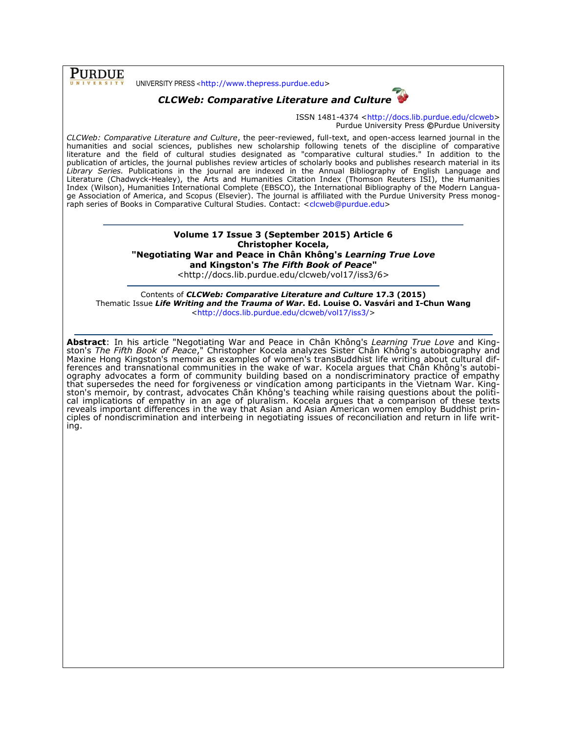UNIVERSITY PRESS <[http://www.thepress.purdue.edu>](http://www.thepress.purdue.edu/)

**PURDUE** 



ISSN 1481-4374 [<http://docs.lib.purdue.edu/clcweb>](http://docs.lib.purdue.edu/clcweb) Purdue University Press **©**Purdue University

*CLCWeb: Comparative Literature and Culture*, the peer-reviewed, full-text, and open-access learned journal in the humanities and social sciences, publishes new scholarship following tenets of the discipline of comparative literature and the field of cultural studies designated as "comparative cultural studies." In addition to the publication of articles, the journal publishes review articles of scholarly books and publishes research material in its *Library Series.* Publications in the journal are indexed in the Annual Bibliography of English Language and Literature (Chadwyck-Healey), the Arts and Humanities Citation Index (Thomson Reuters ISI), the Humanities Index (Wilson), Humanities International Complete (EBSCO), the International Bibliography of the Modern Language Association of America, and Scopus (Elsevier). The journal is affiliated with the Purdue University Press monog-raph series of Books in Comparative Cultural Studies. Contact: [<clcweb@purdue.edu>](mailto:clcweb@purdue.edu)

> **Volume 17 Issue 3 (September 2015) Article 6 Christopher Kocela, "Negotiating War and Peace in Chân Không's** *Learning True Love* **and Kingston's** *The Fifth Book of Peace***"**

<http://docs.lib.purdue.edu/clcweb/vol17/iss3/6>

Contents of *CLCWeb: Comparative Literature and Culture* **17.3 (2015)** Thematic Issue *Life Writing and the Trauma of War***. Ed. Louise O. Vasvári and I-Chun Wang** [<http://docs.lib.purdue.edu/clcweb/vol17/iss3/>](http://docs.lib.purdue.edu/clcweb/vol17/iss3/)

**Abstract**: In his article "Negotiating War and Peace in Chân Không's *Learning True Love* and Kingston's *The Fifth Book of Peace*," Christopher Kocela analyzes Sister Chân Không's autobiography and Maxine Hong Kingston's memoir as examples of women's transBuddhist life writing about cultural differences and transnational communities in the wake of war. Kocela argues that Chân Không's autobiography advocates a form of community building based on a nondiscriminatory practice of empathy that supersedes the need for forgiveness or vindication among participants in the Vietnam War. Kingston's memoir, by contrast, advocates Chân Không's teaching while raising questions about the political implications of empathy in an age of pluralism. Kocela argues that a comparison of these texts reveals important differences in the way that Asian and Asian American women employ Buddhist principles of nondiscrimination and interbeing in negotiating issues of reconciliation and return in life writing.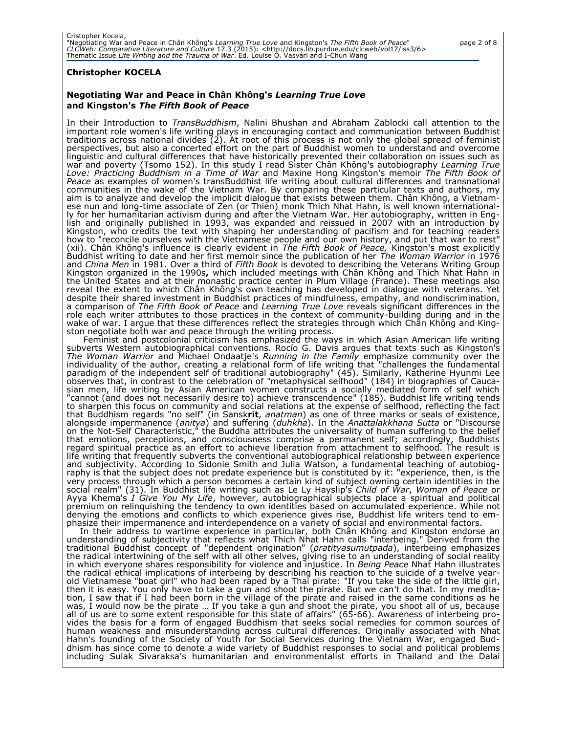### **Christopher KOCELA**

### **Negotiating War and Peace in Chân Không's** *Learning True Love* **and Kingston's** *The Fifth Book of Peace*

In their Introduction to *TransBuddhism*, Nalini Bhushan and Abraham Zablocki call attention to the important role women's life writing plays in encouraging contact and communication between Buddhist traditions across national divides (2). At root of this process is not only the global spread of feminist perspectives, but also a concerted effort on the part of Buddhist women to understand and overcome linguistic and cultural differences that have historically prevented their collaboration on issues such as war and poverty (Tsomo 152). In this study I read Sister Chân Không's autobiography *Learning True Love: Practicing Buddhism in a Time of War* and Maxine Hong Kingston's memoir *The Fifth Book of Peace* as examples of women's transBuddhist life writing about cultural differences and transnational communities in the wake of the Vietnam War. By comparing these particular texts and authors, my aim is to analyze and develop the implicit dialogue that exists between them. Chân Không, a Vietnamese nun and long-time associate of Zen (or Thien) monk Thich Nhat Hahn, is well known internationally for her humanitarian activism during and after the Vietnam War. Her autobiography, written in English and originally published in 1993, was expanded and reissued in 2007 with an introduction by Kingston, who credits the text with shaping her understanding of pacifism and for teaching readers how to "reconcile ourselves with the Vietnamese people and our own history, and put that war to rest" (xii). Chân Không's influence is clearly evident in *The Fifth Book of Peace,* Kingston's most explicitly Buddhist writing to date and her first memoir since the publication of her *The Woman Warrior* in 1976 and *China Men* in 1981. Over a third of *Fifth Book* is devoted to describing the Veterans Writing Group Kingston organized in the 1990s**,** which included meetings with Chân Không and Thich Nhat Hahn in the United States and at their monastic practice center in Plum Village (France). These meetings also reveal the extent to which Chân Không's own teaching has developed in dialogue with veterans. Yet despite their shared investment in Buddhist practices of mindfulness, empathy, and nondiscrimination, a comparison of *The Fifth Book of Peace* and *Learning True Love* reveals significant differences in the role each writer attributes to those practices in the context of community-building during and in the wake of war. I argue that these differences reflect the strategies through which Chân Không and Kingston negotiate both war and peace through the writing process.

Feminist and postcolonial criticism has emphasized the ways in which Asian American life writing subverts Western autobiographical conventions. Rocío G. Davis argues that texts such as Kingston's *The Woman Warrior* and Michael Ondaatje's *Running in the Family* emphasize community over the individuality of the author, creating a relational form of life writing that "challenges the fundamental paradigm of the independent self of traditional autobiography" (45). Similarly, Katherine Hyunmi Lee observes that, in contrast to the celebration of "metaphysical selfhood" (184) in biographies of Caucasian men, life writing by Asian American women constructs a socially mediated form of self which "cannot (and does not necessarily desire to) achieve transcendence" (185). Buddhist life writing tends to sharpen this focus on community and social relations at the expense of selfhood, reflecting the fact that Buddhism regards "no self" (in Sansk**rit**, *anatman*) as one of three marks or seals of existence, alongside impermanence (*anitya*) and suffering (*duhkha*). In the *Anattalakkhana Sutta* or "Discourse on the Not-Self Characteristic," the Buddha attributes the universality of human suffering to the belief that emotions, perceptions, and consciousness comprise a permanent self; accordingly, Buddhists regard spiritual practice as an effort to achieve liberation from attachment to selfhood. The result is life writing that frequently subverts the conventional autobiographical relationship between experience and subjectivity. According to Sidonie Smith and Julia Watson, a fundamental teaching of autobiography is that the subject does not predate experience but is constituted by it: "experience, then, is the very process through which a person becomes a certain kind of subject owning certain identities in the social realm" (31). In Buddhist life writing such as Le Ly Hayslip's *Child of War*, *Woman of Peace* or Ayya Khema's *I Give You My Life*, however, autobiographical subjects place a spiritual and political premium on relinquishing the tendency to own identities based on accumulated experience. While not denying the emotions and conflicts to which experience gives rise, Buddhist life writers tend to emphasize their impermanence and interdependence on a variety of social and environmental factors.

In their address to wartime experience in particular, both Chân Không and Kingston endorse an understanding of subjectivity that reflects what Thich Nhat Hahn calls "interbeing." Derived from the traditional Buddhist concept of "dependent origination" (*pratityasumutpada*), interbeing emphasizes the radical intertwining of the self with all other selves, giving rise to an understanding of social reality in which everyone shares responsibility for violence and injustice. In *Being Peace* Nhat Hahn illustrates the radical ethical implications of interbeing by describing his reaction to the suicide of a twelve yearold Vietnamese "boat girl" who had been raped by a Thai pirate: "If you take the side of the little girl, then it is easy. You only have to take a gun and shoot the pirate. But we can't do that. In my meditation, I saw that if I had been born in the village of the pirate and raised in the same conditions as he was, I would now be the pirate … If you take a gun and shoot the pirate, you shoot all of us, because all of us are to some extent responsible for this state of affairs" (65-66). Awareness of interbeing provides the basis for a form of engaged Buddhism that seeks social remedies for common sources of human weakness and misunderstanding across cultural differences. Originally associated with Nhat Hahn's founding of the Society of Youth for Social Services during the Vietnam War, engaged Buddhism has since come to denote a wide variety of Buddhist responses to social and political problems including Sulak Sivaraksa's humanitarian and environmentalist efforts in Thailand and the Dalai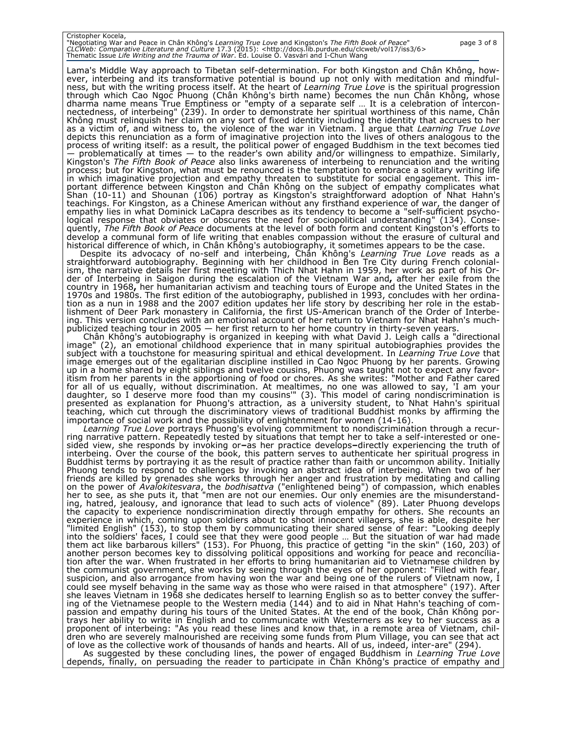## Cristopher Kocela, "Negotiating War and Peace in Chân Không's *Learning True Love* and Kingston's *The Fifth Book of Peace*" page 3 of 8<br>*CLCWeb: Comparative Literature and Culture 17.3 (2*015): <http://docs.lib.purdue.edu/clcweb/vol1

Lama's Middle Way approach to Tibetan self-determination. For both Kingston and Chân Không, however, interbeing and its transformative potential is bound up not only with meditation and mindfulness, but with the writing process itself. At the heart of *Learning True Love* is the spiritual progression through which Cao Ngoc Phuong (Chân Không's birth name) becomes the nun Chân Không, whose dharma name means True Emptiness or "empty of a separate self … It is a celebration of interconnectedness, of interbeing" (239). In order to demonstrate her spiritual worthiness of this name, Chân Không must relinquish her claim on any sort of fixed identity including the identity that accrues to her as a victim of, and witness to, the violence of the war in Vietnam. I argue that *Learning True Love*  depicts this renunciation as a form of imaginative projection into the lives of others analogous to the process of writing itself: as a result, the political power of engaged Buddhism in the text becomes tied — problematically at times — to the reader's own ability and/or willingness to empathize. Similarly, Kingston's *The Fifth Book of Peace* also links awareness of interbeing to renunciation and the writing process; but for Kingston, what must be renounced is the temptation to embrace a solitary writing life in which imaginative projection and empathy threaten to substitute for social engagement. This important difference between Kingston and Chân Không on the subject of empathy complicates what Shan (10-11) and Shounan (106) portray as Kingston's straightforward adoption of Nhat Hahn's teachings. For Kingston, as a Chinese American without any firsthand experience of war, the danger of empathy lies in what Dominick LaCapra describes as its tendency to become a "self-sufficient psychological response that obviates or obscures the need for sociopolitical understanding" (134). Consequently, *The Fifth Book of Peace* documents at the level of both form and content Kingston's efforts to develop a communal form of life writing that enables compassion without the erasure of cultural and historical difference of which, in Chân Không's autobiography, it sometimes appears to be the case.

Despite its advocacy of no-self and interbeing, Chân Không's *Learning True Love* reads as a straightforward autobiography. Beginning with her childhood in Ben Tre City during French colonialism, the narrative details her first meeting with Thich Nhat Hahn in 1959, her work as part of his Order of Interbeing in Saigon during the escalation of the Vietnam War and**,** after her exile from the country in 1968**,** her humanitarian activism and teaching tours of Europe and the United States in the 1970s and 1980s. The first edition of the autobiography, published in 1993, concludes with her ordination as a nun in 1988 and the 2007 edition updates her life story by describing her role in the establishment of Deer Park monastery in California, the first US-American branch of the Order of Interbeing. This version concludes with an emotional account of her return to Vietnam for Nhat Hahn's muchpublicized teaching tour in 2005 — her first return to her home country in thirty-seven years.

Chân Không's autobiography is organized in keeping with what David J. Leigh calls a "directional image" (2), an emotional childhood experience that in many spiritual autobiographies provides the subject with a touchstone for measuring spiritual and ethical development. In *Learning True Love* that image emerges out of the egalitarian discipline instilled in Cao Ngoc Phuong by her parents. Growing up in a home shared by eight siblings and twelve cousins, Phuong was taught not to expect any favoritism from her parents in the apportioning of food or chores. As she writes: "Mother and Father cared for all of us equally, without discrimination. At mealtimes, no one was allowed to say, 'I am your daughter, so I deserve more food than my cousins'" (3). This model of caring nondiscrimination is presented as explanation for Phuong's attraction, as a university student, to Nhat Hahn's spiritual teaching, which cut through the discriminatory views of traditional Buddhist monks by affirming the importance of social work and the possibility of enlightenment for women (14-16).

*Learning True Love* portrays Phuong's evolving commitment to nondiscrimination through a recurring narrative pattern. Repeatedly tested by situations that tempt her to take a self-interested or onesided view, she responds by invoking or**–**as her practice develops**–**directly experiencing the truth of interbeing. Over the course of the book, this pattern serves to authenticate her spiritual progress in Buddhist terms by portraying it as the result of practice rather than faith or uncommon ability. Initially Phuong tends to respond to challenges by invoking an abstract idea of interbeing. When two of her friends are killed by grenades she works through her anger and frustration by meditating and calling on the power of *Avalokitesvara*, the *bodhisattva* ("enlightened being") of compassion, which enables her to see, as she puts it, that "men are not our enemies. Our only enemies are the misunderstanding, hatred, jealousy, and ignorance that lead to such acts of violence" (89). Later Phuong develops the capacity to experience nondiscrimination directly through empathy for others. She recounts an experience in which, coming upon soldiers about to shoot innocent villagers, she is able, despite her "limited English" (153), to stop them by communicating their shared sense of fear: "Looking deeply into the soldiers' faces, I could see that they were good people … But the situation of war had made them act like barbarous killers" (153). For Phuong, this practice of getting "in the skin" (160, 203) of another person becomes key to dissolving political oppositions and working for peace and reconciliation after the war. When frustrated in her efforts to bring humanitarian aid to Vietnamese children by the communist government, she works by seeing through the eyes of her opponent: "Filled with fear, suspicion, and also arrogance from having won the war and being one of the rulers of Vietnam now, I could see myself behaving in the same way as those who were raised in that atmosphere" (197). After she leaves Vietnam in 1968 she dedicates herself to learning English so as to better convey the suffering of the Vietnamese people to the Western media (144) and to aid in Nhat Hahn's teaching of compassion and empathy during his tours of the United States. At the end of the book, Chân Không portrays her ability to write in English and to communicate with Westerners as key to her success as a proponent of interbeing: "As you read these lines and know that, in a remote area of Vietnam, children who are severely malnourished are receiving some funds from Plum Village, you can see that act of love as the collective work of thousands of hands and hearts. All of us, indeed, inter-are" (294).

As suggested by these concluding lines, the power of engaged Buddhism in *Learning True Love*  depends, finally, on persuading the reader to participate in Chân Không's practice of empathy and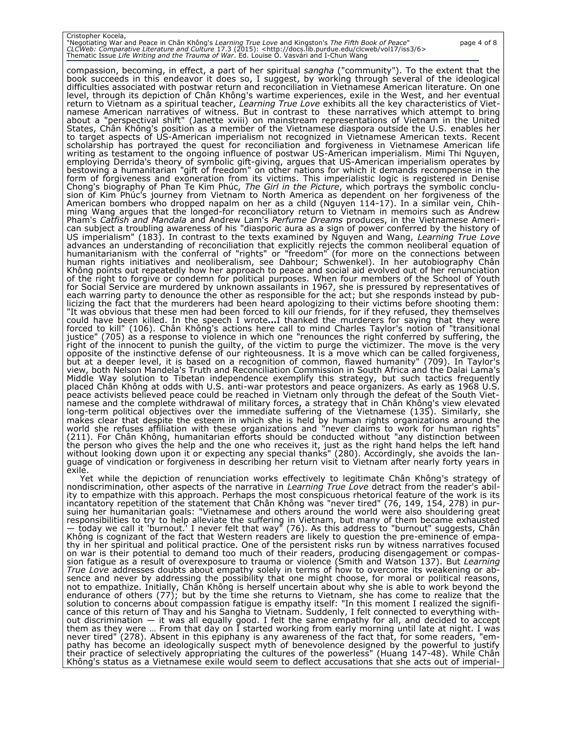## Cristopher Kocela, "Negotiating War and Peace in Chân Không's *Learning True Love* and Kingston's *The Fifth Book of Peace*" page 4 of 8<br>*CLCWeb : Comparative Literature and Culture 17.3 (2*015): <http://docs.lib.purdue.edu/clcweb/vol

compassion, becoming, in effect, a part of her spiritual *sangha* ("community"). To the extent that the book succeeds in this endeavor it does so, I suggest, by working through several of the ideological difficulties associated with postwar return and reconciliation in Vietnamese American literature. On one level, through its depiction of Chân Không's wartime experiences, exile in the West, and her eventual return to Vietnam as a spiritual teacher, *Learning True Love* exhibits all the key characteristics of Vietnamese American narratives of witness. But in contrast to these narratives which attempt to bring about a "perspectival shift" (Janette xviii) on mainstream representations of Vietnam in the United States, Chân Không's position as a member of the Vietnamese diaspora outside the U.S. enables her to target aspects of US-American imperialism not recognized in Vietnamese American texts. Recent scholarship has portrayed the quest for reconciliation and forgiveness in Vietnamese American life writing as testament to the ongoing influence of postwar US-American imperialism. Mimi Thi Nguyen, employing Derrida's theory of symbolic gift-giving, argues that US-American imperialism operates by bestowing a humanitarian "gift of freedom" on other nations for which it demands recompense in the form of forgiveness and exoneration from its victims. This imperialistic logic is registered in Denise Chong's biography of Phan Te Kim Phúc, *The Girl in the Picture*, which portrays the symbolic conclusion of Kim Phúc's journey from Vietnam to North America as dependent on her forgiveness of the American bombers who dropped napalm on her as a child (Nguyen 114-17). In a similar vein, Chihming Wang argues that the longed-for reconciliatory return to Vietnam in memoirs such as Andrew Pham's *Catfish and Mandala* and Andrew Lam's *Perfume Dreams* produces, in the Vietnamese American subject a troubling awareness of his "diasporic aura as a sign of power conferred by the history of US imperialism" (183). In contrast to the texts examined by Nguyen and Wang, *Learning True Love*  advances an understanding of reconciliation that explicitly rejects the common neoliberal equation of humanitarianism with the conferral of "rights" or "freedom" (for more on the connections between human rights initiatives and neoliberalism, see Dahbour; Schwenkel). In her autobiography Chân Không points out repeatedly how her approach to peace and social aid evolved out of her renunciation of the right to forgive or condemn for political purposes. When four members of the School of Youth for Social Service are murdered by unknown assailants in 1967, she is pressured by representatives of each warring party to denounce the other as responsible for the act; but she responds instead by publicizing the fact that the murderers had been heard apologizing to their victims before shooting them: "It was obvious that these men had been forced to kill our friends, for if they refused, they themselves could have been killed. In the speech I wrote**…**I thanked the murderers for saying that they were forced to kill" (106). Chân Không's actions here call to mind Charles Taylor's notion of "transitional justice" (705) as a response to violence in which one "renounces the right conferred by suffering, the right of the innocent to punish the guilty, of the victim to purge the victimizer. The move is the very opposite of the instinctive defense of our righteousness. It is a move which can be called forgiveness, but at a deeper level, it is based on a recognition of common, flawed humanity" (709). In Taylor's view, both Nelson Mandela's Truth and Reconciliation Commission in South Africa and the Dalai Lama's Middle Way solution to Tibetan independence exemplify this strategy, but such tactics frequently placed Chân Không at odds with U.S. anti-war protestors and peace organizers. As early as 1968 U.S. peace activists believed peace could be reached in Vietnam only through the defeat of the South Vietnamese and the complete withdrawal of military forces, a strategy that in Chân Không's view elevated long-term political objectives over the immediate suffering of the Vietnamese (135). Similarly, she makes clear that despite the esteem in which she is held by human rights organizations around the world she refuses affiliation with these organizations and "never claims to work for human rights" (211). For Chân Không, humanitarian efforts should be conducted without "any distinction between the person who gives the help and the one who receives it, just as the right hand helps the left hand without looking down upon it or expecting any special thanks" (280). Accordingly, she avoids the language of vindication or forgiveness in describing her return visit to Vietnam after nearly forty years in exile.

Yet while the depiction of renunciation works effectively to legitimate Chân Không's strategy of nondiscrimination, other aspects of the narrative in *Learning True Love* detract from the reader's ability to empathize with this approach. Perhaps the most conspicuous rhetorical feature of the work is its incantatory repetition of the statement that Chân Không was "never tired" (76, 149, 154, 278) in pursuing her humanitarian goals: "Vietnamese and others around the world were also shouldering great responsibilities to try to help alleviate the suffering in Vietnam, but many of them became exhausted — today we call it 'burnout.' I never felt that way" (76). As this address to "burnout" suggests, Chân Không is cognizant of the fact that Western readers are likely to question the pre-eminence of empathy in her spiritual and political practice. One of the persistent risks run by witness narratives focused on war is their potential to demand too much of their readers, producing disengagement or compassion fatigue as a result of overexposure to trauma or violence (Smith and Watson 137). But *Learning True Love* addresses doubts about empathy solely in terms of how to overcome its weakening or absence and never by addressing the possibility that one might choose, for moral or political reasons, not to empathize. Initially, Chân Không is herself uncertain about why she is able to work beyond the endurance of others (77); but by the time she returns to Vietnam, she has come to realize that the solution to concerns about compassion fatigue is empathy itself: "In this moment I realized the significance of this return of Thay and his Sangha to Vietnam. Suddenly, I felt connected to everything without discrimination — it was all equally good. I felt the same empathy for all, and decided to accept them as they were … From that day on I started working from early morning until late at night. I was never tired" (278). Absent in this epiphany is any awareness of the fact that, for some readers, "empathy has become an ideologically suspect myth of benevolence designed by the powerful to justify their practice of selectively appropriating the cultures of the powerless" (Huang 147-48). While Chân Không's status as a Vietnamese exile would seem to deflect accusations that she acts out of imperial-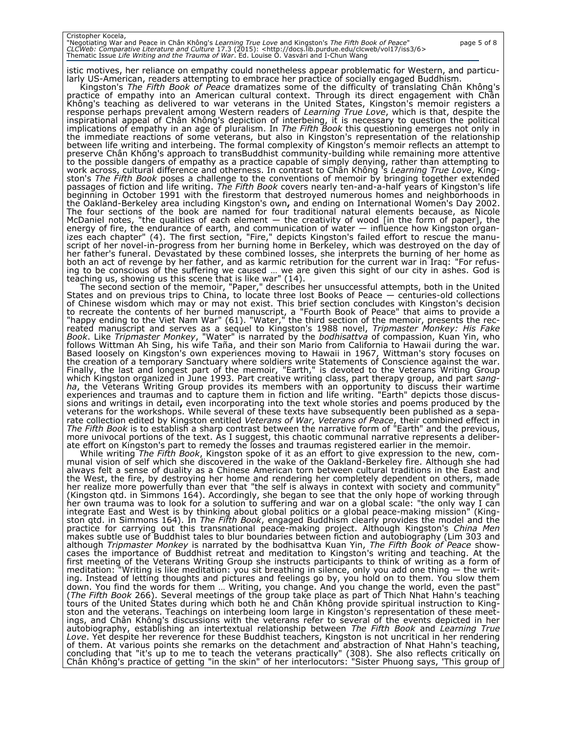## Cristopher Kocela, "Negotiating War and Peace in Chân Không's *Learning True Love* and Kingston's *The Fifth Book of Peace*" page 5 of 8<br>*CLCWeb: Comparative Literature and Culture 17.3 (2*015): <http://docs.lib.purdue.edu/clcweb/vol17

istic motives, her reliance on empathy could nonetheless appear problematic for Western, and particularly US-American, readers attempting to embrace her practice of socially engaged Buddhism.

Kingston's *The Fifth Book of Peace* dramatizes some of the difficulty of translating Chân Không's practice of empathy into an American cultural context. Through its direct engagement with Chân Không's teaching as delivered to war veterans in the United States, Kingston's memoir registers a response perhaps prevalent among Western readers of *Learning True Love*, which is that, despite the inspirational appeal of Chân Không's depiction of interbeing, it is necessary to question the political implications of empathy in an age of pluralism. In *The Fifth Book* this questioning emerges not only in the immediate reactions of some veterans, but also in Kingston's representation of the relationship between life writing and interbeing. The formal complexity of Kingston's memoir reflects an attempt to preserve Chân Không's approach to transBuddhist community-building while remaining more attentive to the possible dangers of empathy as a practice capable of simply denying, rather than attempting to work across, cultural difference and otherness. In contrast to Chân Không 's *Learning True Love*, Kingston's *The Fifth Book* poses a challenge to the conventions of memoir by bringing together extended passages of fiction and life writing. *The Fifth Book* covers nearly ten-and-a-half years of Kingston's life beginning in October 1991 with the firestorm that destroyed numerous homes and neighborhoods in the Oakland-Berkeley area including Kingston's own**,** and ending on International Women's Day 2002. The four sections of the book are named for four traditional natural elements because, as Nicole McDaniel notes, "the qualities of each element — the creativity of wood [in the form of paper], the energy of fire, the endurance of earth, and communication of water — influence how Kingston organizes each chapter" (4). The first section, "Fire," depicts Kingston's failed effort to rescue the manuscript of her novel-in-progress from her burning home in Berkeley, which was destroyed on the day of her father's funeral. Devastated by these combined losses, she interprets the burning of her home as both an act of revenge by her father, and as karmic retribution for the current war in Iraq: "For refusing to be conscious of the suffering we caused … we are given this sight of our city in ashes. God is teaching us, showing us this scene that is like war" (14).

The second section of the memoir, "Paper," describes her unsuccessful attempts, both in the United States and on previous trips to China, to locate three lost Books of Peace — centuries-old collections of Chinese wisdom which may or may not exist. This brief section concludes with Kingston's decision to recreate the contents of her burned manuscript, a "Fourth Book of Peace" that aims to provide a "happy ending to the Viet Nam War" (61). "Water," the third section of the memoir, presents the recreated manuscript and serves as a sequel to Kingston's 1988 novel, *Tripmaster Monkey: His Fake Book*. Like *Tripmaster Monkey*, "Water" is narrated by the *bodhisattva* of compassion, Kuan Yin, who follows Wittman Ah Sing, his wife Taña, and their son Mario from California to Hawaii during the war. Based loosely on Kingston's own experiences moving to Hawaii in 1967, Wittman's story focuses on the creation of a temporary Sanctuary where soldiers write Statements of Conscience against the war. Finally, the last and longest part of the memoir, "Earth," is devoted to the Veterans Writing Group which Kingston organized in June 1993. Part creative writing class, part therapy group, and part *sangha*, the Veterans Writing Group provides its members with an opportunity to discuss their wartime experiences and traumas and to capture them in fiction and life writing. "Earth" depicts those discussions and writings in detail**,** even incorporating into the text whole stories and poems produced by the veterans for the workshops. While several of these texts have subsequently been published as a separate collection edited by Kingston entitled *Veterans of War, Veterans of Peace*, their combined effect in *The Fifth Book* is to establish a sharp contrast between the narrative form of "Earth" and the previous, more univocal portions of the text. As I suggest, this chaotic communal narrative represents a deliberate effort on Kingston's part to remedy the losses and traumas registered earlier in the memoir.

While writing *The Fifth Book*, Kingston spoke of it as an effort to give expression to the new, communal vision of self which she discovered in the wake of the Oakland-Berkeley fire. Although she had always felt a sense of duality as a Chinese American torn between cultural traditions in the East and the West, the fire, by destroying her home and rendering her completely dependent on others, made her realize more powerfully than ever that "the self is always in context with society and community" (Kingston qtd. in Simmons 164). Accordingly, she began to see that the only hope of working through her own trauma was to look for a solution to suffering and war on a global scale: "the only way I can integrate East and West is by thinking about global politics or a global peace-making mission" (Kingston qtd. in Simmons 164). In *The Fifth Book*, engaged Buddhism clearly provides the model and the practice for carrying out this transnational peace-making project. Although Kingston's *China Men*  makes subtle use of Buddhist tales to blur boundaries between fiction and autobiography (Lim 303 and although *Tripmaster Monkey* is narrated by the bodhisattva Kuan Yin, *The Fifth Book of Peace* showcases the importance of Buddhist retreat and meditation to Kingston's writing and teaching. At the first meeting of the Veterans Writing Group she instructs participants to think of writing as a form of meditation: "Writing is like meditation: you sit breathing in silence, only you add one thing — the writing. Instead of letting thoughts and pictures and feelings go by, you hold on to them. You slow them down. You find the words for them … Writing, you change. And you change the world, even the past" (*The Fifth Book* 266). Several meetings of the group take place as part of Thich Nhat Hahn's teaching tours of the United States during which both he and Chân Không provide spiritual instruction to Kingston and the veterans. Teachings on interbeing loom large in Kingston's representation of these meetings, and Chân Không's discussions with the veterans refer to several of the events depicted in her autobiography, establishing an intertextual relationship between *The Fifth Book* and *Learning True Love*. Yet despite her reverence for these Buddhist teachers, Kingston is not uncritical in her rendering of them. At various points she remarks on the detachment and abstraction of Nhat Hahn's teaching, concluding that "it's up to me to teach the veterans practically" (308). She also reflects critically on Chân Không's practice of getting "in the skin" of her interlocutors: "Sister Phuong says, 'This group of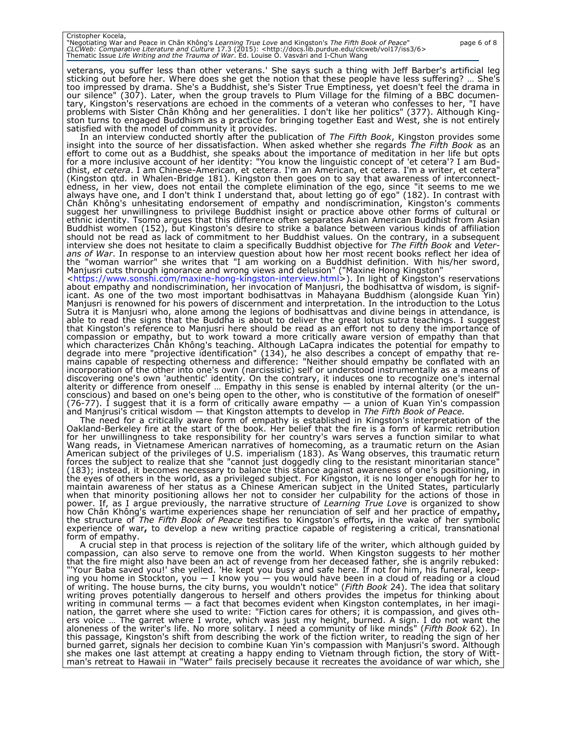#### Cristopher Kocela,

"Negotiating War and Peace in Chân Không's *Learning True Love* and Kingston's *The Fifth Book of Peace*" page 6 of 8<br>*CLCWeb : Comparative Literature and Culture 17.3 (2*015): <http://docs.lib.purdue.edu/clcweb/vol1

veterans, you suffer less than other veterans.' She says such a thing with Jeff Barber's artificial leg sticking out before her. Where does she get the notion that these people have less suffering? … She's too impressed by drama. She's a Buddhist, she's Sister True Emptiness, yet doesn't feel the drama in our silence" (307). Later, when the group travels to Plum Village for the filming of a BBC documentary, Kingston's reservations are echoed in the comments of a veteran who confesses to her, "I have problems with Sister Chân Không and her generalities. I don't like her politics" (377). Although Kingston turns to engaged Buddhism as a practice for bringing together East and West, she is not entirely satisfied with the model of community it provides.

In an interview conducted shortly after the publication of *The Fifth Book*, Kingston provides some insight into the source of her dissatisfaction. When asked whether she regards *The Fifth Book* as an effort to come out as a Buddhist, she speaks about the importance of meditation in her life but opts for a more inclusive account of her identity: "You know the linguistic concept of 'et cetera'? I am Buddhist, *et cetera*. I am Chinese-American, et cetera. I'm an American, et cetera. I'm a writer, et cetera" (Kingston qtd. in Whalen-Bridge 181). Kingston then goes on to say that awareness of interconnectedness, in her view, does not entail the complete elimination of the ego, since "it seems to me we always have one, and I don't think I understand that, about letting go of ego" (182). In contrast with Chân Không's unhesitating endorsement of empathy and nondiscrimination, Kingston's comments suggest her unwillingness to privilege Buddhist insight or practice above other forms of cultural or ethnic identity. Tsomo argues that this difference often separates Asian American Buddhist from Asian Buddhist women (152), but Kingston's desire to strike a balance between various kinds of affiliation should not be read as lack of commitment to her Buddhist values. On the contrary, in a subsequent interview she does not hesitate to claim a specifically Buddhist objective for *The Fifth Book* and *Veterans of War*. In response to an interview question about how her most recent books reflect her idea of the "woman warrior" she writes that "I am working on a Buddhist definition. With his/her sword, Manjusri cuts through ignorance and wrong views and delusion" ("Maxine Hong Kingston"

[<https://www.sonshi.com/maxine-hong-kingston-interview.html>](https://www.sonshi.com/maxine-hong-kingston-interview.html)). In light of Kingston's reservations about empathy and nondiscrimination, her invocation of Manjusri, the bodhisattva of wisdom, is significant. As one of the two most important bodhisattvas in Mahayana Buddhism (alongside Kuan Yin) Manjusri is renowned for his powers of discernment and interpretation. In the introduction to the Lotus Sutra it is Manjusri who, alone among the legions of bodhisattvas and divine beings in attendance, is able to read the signs that the Buddha is about to deliver the great lotus sutra teachings. I suggest that Kingston's reference to Manjusri here should be read as an effort not to deny the importance of compassion or empathy, but to work toward a more critically aware version of empathy than that which characterizes Chân Không's teaching. Although LaCapra indicates the potential for empathy to degrade into mere "projective identification" (134), he also describes a concept of empathy that remains capable of respecting otherness and difference: "Neither should empathy be conflated with an incorporation of the other into one's own (narcissistic) self or understood instrumentally as a means of discovering one's own 'authentic' identity. On the contrary, it induces one to recognize one's internal alterity or difference from oneself ... Empathy in this sense is enabled by internal alterity (or the unconscious) and based on one's being open to the other, who is constitutive of the formation of oneself" (76-77). I suggest that it is a form of critically aware empathy — a union of Kuan Yin's compassion and Manjrusi's critical wisdom — that Kingston attempts to develop in *The Fifth Book of Peace.*

The need for a critically aware form of empathy is established in Kingston's interpretation of the Oakland-Berkeley fire at the start of the book. Her belief that the fire is a form of karmic retribution for her unwillingness to take responsibility for her country's wars serves a function similar to what Wang reads, in Vietnamese American narratives of homecoming, as a traumatic return on the Asian American subject of the privileges of U.S. imperialism (183). As Wang observes, this traumatic return forces the subject to realize that she "cannot just doggedly cling to the resistant minoritarian stance" (183); instead, it becomes necessary to balance this stance against awareness of one's positioning, in the eyes of others in the world, as a privileged subject. For Kingston, it is no longer enough for her to maintain awareness of her status as a Chinese American subject in the United States, particularly when that minority positioning allows her not to consider her culpability for the actions of those in power. If, as I argue previously, the narrative structure of *Learning True Love* is organized to show how Chân Không's wartime experiences shape her renunciation of self and her practice of empathy**,** the structure of *The Fifth Book of Peace* testifies to Kingston's efforts**,** in the wake of her symbolic experience of war**,** to develop a new writing practice capable of registering a critical, transnational form of empathy.

A crucial step in that process is rejection of the solitary life of the writer, which although guided by compassion, can also serve to remove one from the world. When Kingston suggests to her mother that the fire might also have been an act of revenge from her deceased father, she is angrily rebuked: "'Your Baba saved you!' she yelled. 'He kept you busy and safe here. If not for him, his funeral, keeping you home in Stockton, you  $-1$  know you  $-$  you would have been in a cloud of reading or a cloud of writing. The house burns, the city burns, you wouldn't notice" (*Fifth Book* 24). The idea that solitary writing proves potentially dangerous to herself and others provides the impetus for thinking about writing in communal terms — a fact that becomes evident when Kingston contemplates, in her imagination, the garret where she used to write: "Fiction cares for others; it is compassion, and gives others voice … The garret where I wrote, which was just my height, burned. A sign. I do not want the aloneness of the writer's life. No more solitary. I need a community of like minds" (*Fifth Book* 62). In this passage, Kingston's shift from describing the work of the fiction writer, to reading the sign of her burned garret, signals her decision to combine Kuan Yin's compassion with Manjusri's sword. Although she makes one last attempt at creating a happy ending to Vietnam through fiction, the story of Wittman's retreat to Hawaii in "Water" fails precisely because it recreates the avoidance of war which, she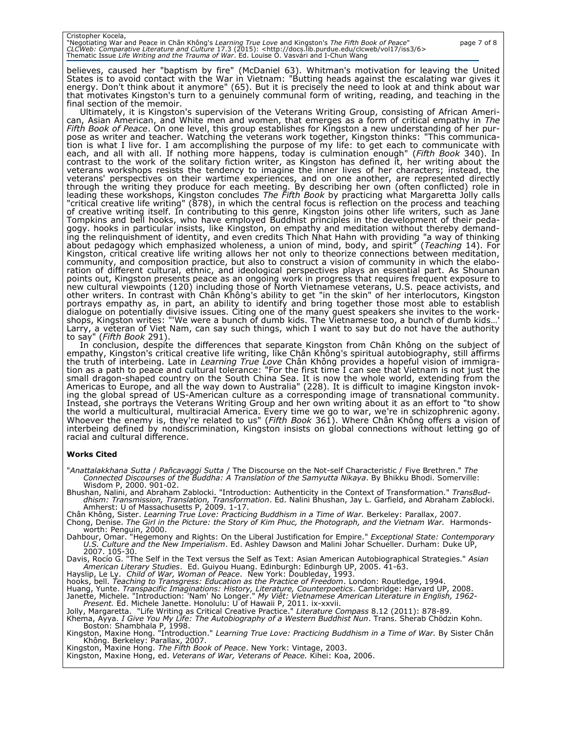#### Cristopher Kocela,

"Negotiating War and Peace in Chân Không's *Learning True Love* and Kingston's *The Fifth Book of Peace*" page 7 of 8<br>*CLCWeb : Comparative Literature and Culture 17.3 (*2015): <http://docs.lib.purdue.edu/clcweb/vol1

believes, caused her "baptism by fire" (McDaniel 63). Whitman's motivation for leaving the United States is to avoid contact with the War in Vietnam: "Butting heads against the escalating war gives it energy. Don't think about it anymore" (65). But it is precisely the need to look at and think about war that motivates Kingston's turn to a genuinely communal form of writing, reading, and teaching in the final section of the memoir.

Ultimately, it is Kingston's supervision of the Veterans Writing Group, consisting of African American, Asian American, and White men and women, that emerges as a form of critical empathy in *The Fifth Book of Peace*. On one level, this group establishes for Kingston a new understanding of her purpose as writer and teacher. Watching the veterans work together, Kingston thinks: "This communication is what I live for. I am accomplishing the purpose of my life: to get each to communicate with each, and all with all. If nothing more happens, today is culmination enough" (*Fifth Book* 340). In contrast to the work of the solitary fiction writer, as Kingston has defined it, her writing about the veterans workshops resists the tendency to imagine the inner lives of her characters; instead, the veterans' perspectives on their wartime experiences, and on one another, are represented directly through the writing they produce for each meeting. By describing her own (often conflicted) role in leading these workshops, Kingston concludes *The Fifth Book* by practicing what Margaretta Jolly calls "critical creative life writing" (878), in which the central focus is reflection on the process and teaching of creative writing itself. In contributing to this genre, Kingston joins other life writers, such as Jane Tompkins and bell hooks, who have employed Buddhist principles in the development of their pedagogy. hooks in particular insists, like Kingston, on empathy and meditation without thereby demanding the relinquishment of identity, and even credits Thich Nhat Hahn with providing "a way of thinking about pedagogy which emphasized wholeness, a union of mind, body, and spirit" (*Teaching* 14). For Kingston, critical creative life writing allows her not only to theorize connections between meditation, community, and composition practice, but also to construct a vision of community in which the elaboration of different cultural, ethnic, and ideological perspectives plays an essential part. As Shounan points out, Kingston presents peace as an ongoing work in progress that requires frequent exposure to new cultural viewpoints (120) including those of North Vietnamese veterans, U.S. peace activists, and other writers. In contrast with Chân Không's ability to get "in the skin" of her interlocutors, Kingston portrays empathy as, in part, an ability to identify and bring together those most able to establish dialogue on potentially divisive issues. Citing one of the many guest speakers she invites to the workshops, Kingston writes: "'We were a bunch of dumb kids. The Vietnamese too, a bunch of dumb kids…' Larry, a veteran of Viet Nam, can say such things, which I want to say but do not have the authority to say" (*Fifth Book* 291).

In conclusion, despite the differences that separate Kingston from Chân Không on the subject of empathy, Kingston's critical creative life writing, like Chân Không's spiritual autobiography, still affirms the truth of interbeing. Late in *Learning True Love* Chân Không provides a hopeful vision of immigration as a path to peace and cultural tolerance: "For the first time I can see that Vietnam is not just the small dragon-shaped country on the South China Sea. It is now the whole world, extending from the Americas to Europe, and all the way down to Australia" (228). It is difficult to imagine Kingston invoking the global spread of US-American culture as a corresponding image of transnational community. Instead, she portrays the Veterans Writing Group and her own writing about it as an effort to "to show the world a multicultural, multiracial America. Every time we go to war, we're in schizophrenic agony. Whoever the enemy is, they're related to us" (*Fifth Book* 361). Where Chân Không offers a vision of interbeing defined by nondiscrimination, Kingston insists on global connections without letting go of racial and cultural difference.

#### **Works Cited**

"*Anattalakkhana Sutta* / *Pañcavaggi Sutta* / The Discourse on the Not-self Characteristic / Five Brethren." *The Connected Discourses of the Buddha: A Translation of the Samyutta Nikaya*. By Bhikku Bhodi. Somerville: Wisdom P, 2000. 901-02.

Bhushan, Nalini, and Abraham Zablocki. "Introduction: Authenticity in the Context of Transformation." *TransBuddhism: Transmission, Translation, Transformation*. Ed. Nalini Bhushan, Jay L. Garfield, and Abraham Zablocki. Amherst: U of Massachusetts P, 2009. 1-17.

Chân Không, Sister. *Learning True Love: Practicing Buddhism in a Time of War.* Berkeley: Parallax, 2007.

Chong, Denise. *The Girl in the Picture: the Story of Kim Phuc, the Photograph, and the Vietnam War.* Harmondsworth: Penguin, 2000.

Dahbour, Omar. "Hegemony and Rights: On the Liberal Justification for Empire." *Exceptional State: Contemporary U.S. Culture and the New Imperialism*. Ed. Ashley Dawson and Malini Johar Schueller. Durham: Duke UP, 2007. 105-30.

Davis, Rocío G. "The Self in the Text versus the Self as Text: Asian American Autobiographical Strategies." *Asian American Literary Studies*. Ed. Guiyou Huang. Edinburgh: Edinburgh UP, 2005. 41-63. Hayslip, Le Ly. *Child of War, Woman of Peace*. New York: Doubleday, 1993.

hooks, bell. *Teaching to Transgress: Education as the Practice of Freedom*. London: Routledge, 1994.

Huang, Yunte. *Transpacific Imaginations: History, Literature, Counterpoetics*. Cambridge: Harvard UP, 2008.<br>Janette, Michele. "Introduction: 'Nam' No Longer." *My Viêt: Vietnamese American Literature in English, 1962-*

*Present.* Ed. Michele Janette. Honolulu: U of Hawaii P, 2011. ix-xxvii.

Jolly, Margaretta. "Life Writing as Critical Creative Practice." *Literature Compass* 8.12 (2011): 878-89. Khema, Ayya. *I Give You My Life: The Autobiography of a Western Buddhist Nun*. Trans. Sherab Chödzin Kohn. Boston: Shambhala P, 1998.

Kingston, Maxine Hong. "Introduction." *Learning True Love: Practicing Buddhism in a Time of War.* By Sister Chân Không. Berkeley: Parallax, 2007.

Kingston, Maxine Hong. *The Fifth Book of Peace*. New York: Vintage, 2003.

Kingston, Maxine Hong, ed. *Veterans of War, Veterans of Peace.* Kihei: Koa, 2006.